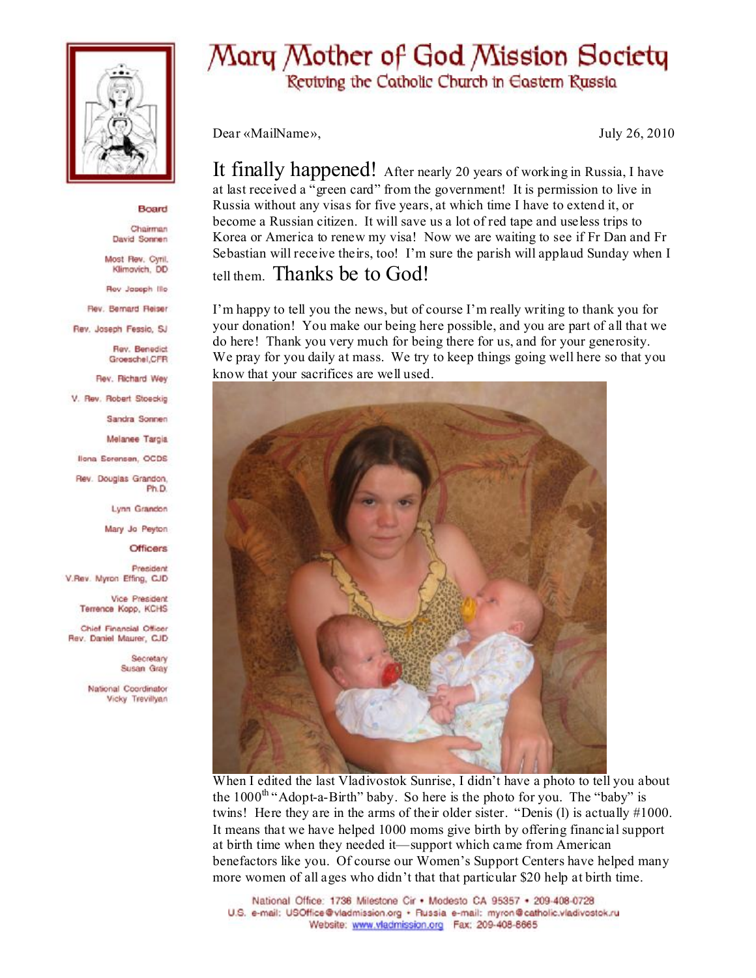

## Board

Chairman David Sonnen

Most Rev. Cyril. Klimovich, DD

Rev Jaseph Ille

Rev. Bernard Reiser

Rev. Joseph Fessio, SJ

**Flev. Benedict** Groeschel, CFR

Rev. Richard Wey

V. Rev. Robert Stoeckig

Sandra Sonnen

Melanee Targia

Ilona Sorensen, OCDS

Rev. Douglas Grandon, Ph.D.

Lynn Grandon

Mary Jo Peyton

**Officers** 

President V.Rev. Myron Effing, CJD

Vice President Terrence Kopp, KCHS

Chief Financial Officer Rev. Daniel Maurer, CJD

> Secretary Susan Gray

National Coordinator Vicky Trevillyan

## Mary Mother of God Mission Society

Reviving the Catholic Church in Eastern Russia

Dear «MailName»,

July 26, 2010

It finally happened! After nearly 20 years of working in Russia, I have at last received a "green card" from the government! It is permission to live in Russia without any visas for five years, at which time I have to extend it, or become a Russian citizen. It will save us a lot of red tape and useless trips to Korea or America to renew my visa! Now we are waiting to see if Fr Dan and Fr Sebastian will receive theirs, too! I'm sure the parish will applaud Sunday when I tell them. Thanks be to God!

I'm happy to tell you the news, but of course I'm really writing to thank you for your donation! You make our being here possible, and you are part of all that we do here! Thank you very much for being there for us, and for your generosity. We pray for you daily at mass. We try to keep things going well here so that you know that your sacrifices are well used.



When I edited the last Vladivostok Sunrise, I didn't have a photo to tell you about the  $1000^{\text{th}}$  "Adopt-a-Birth" baby. So here is the photo for you. The "baby" is twins! Here they are in the arms of their older sister. "Denis (1) is actually  $\#1000$ . It means that we have helped 1000 moms give birth by offering financial support at birth time when they needed it—support which came from American benefactors like you. Of course our Women's Support Centers have helped many more women of all ages who didn't that that particular \$20 help at birth time.